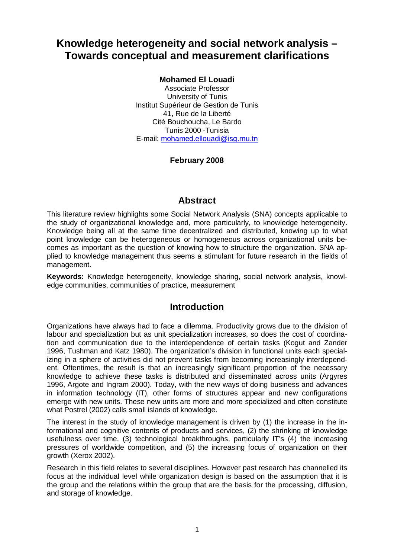# **Knowledge heterogeneity and social network analysis – Towards conceptual and measurement clarifications**

### **Mohamed El Louadi**

Associate Professor University of Tunis Institut Supérieur de Gestion de Tunis 41, Rue de la Liberté Cité Bouchoucha, Le Bardo Tunis 2000 -Tunisia E-mail: [mohamed.ellouadi@isg.rnu.tn](mailto:mohamed.ellouadi@isg.rnu.tn)

### **February 2008**

## **Abstract**

This literature review highlights some Social Network Analysis (SNA) concepts applicable to the study of organizational knowledge and, more particularly, to knowledge heterogeneity. Knowledge being all at the same time decentralized and distributed, knowing up to what point knowledge can be heterogeneous or homogeneous across organizational units becomes as important as the question of knowing how to structure the organization. SNA applied to knowledge management thus seems a stimulant for future research in the fields of management.

**Keywords:** Knowledge heterogeneity, knowledge sharing, social network analysis, knowledge communities, communities of practice, measurement

## **Introduction**

Organizations have always had to face a dilemma. Productivity grows due to the division of labour and specialization but as unit specialization increases, so does the cost of coordination and communication due to the interdependence of certain tasks (Kogut and Zander 1996, Tushman and Katz 1980). The organization's division in functional units each specializing in a sphere of activities did not prevent tasks from becoming increasingly interdependent. Oftentimes, the result is that an increasingly significant proportion of the necessary knowledge to achieve these tasks is distributed and disseminated across units (Argyres 1996, Argote and Ingram 2000). Today, with the new ways of doing business and advances in information technology (IT), other forms of structures appear and new configurations emerge with new units. These new units are more and more specialized and often constitute what Postrel (2002) calls small islands of knowledge.

The interest in the study of knowledge management is driven by (1) the increase in the informational and cognitive contents of products and services, (2) the shrinking of knowledge usefulness over time, (3) technological breakthroughs, particularly IT's (4) the increasing pressures of worldwide competition, and (5) the increasing focus of organization on their growth (Xerox 2002).

Research in this field relates to several disciplines. However past research has channelled its focus at the individual level while organization design is based on the assumption that it is the group and the relations within the group that are the basis for the processing, diffusion, and storage of knowledge.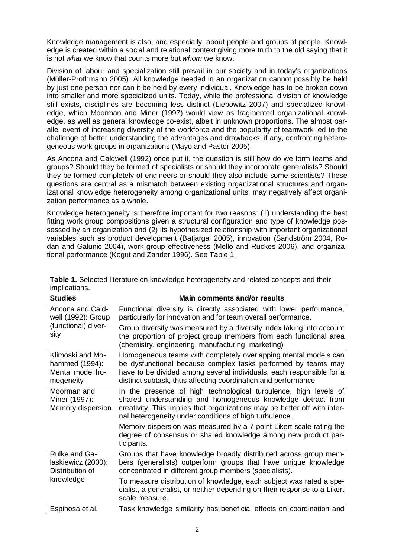Knowledge management is also, and especially, about people and groups of people. Knowledge is created within a social and relational context giving more truth to the old saying that it is not *what* we know that counts more but *whom* we know.

Division of labour and specialization still prevail in our society and in today's organizations (Müller-Prothmann 2005). All knowledge needed in an organization cannot possibly be held by just one person nor can it be held by every individual. Knowledge has to be broken down into smaller and more specialized units. Today, while the professional division of knowledge still exists, disciplines are becoming less distinct (Liebowitz 2007) and specialized knowledge, which Moorman and Miner (1997) would view as fragmented organizational knowledge, as well as general knowledge co-exist, albeit in unknown proportions. The almost parallel event of increasing diversity of the workforce and the popularity of teamwork led to the challenge of better understanding the advantages and drawbacks, if any, confronting heterogeneous work groups in organizations (Mayo and Pastor 2005).

As Ancona and Caldwell (1992) once put it, the question is still how do we form teams and groups? Should they be formed of specialists or should they incorporate generalists? Should they be formed completely of engineers or should they also include some scientists? These questions are central as a mismatch between existing organizational structures and organizational knowledge heterogeneity among organizational units, may negatively affect organization performance as a whole.

Knowledge heterogeneity is therefore important for two reasons: (1) understanding the best fitting work group compositions given a structural configuration and type of knowledge possessed by an organization and (2) its hypothesized relationship with important organizational variables such as product development (Batjargal 2005), innovation (Sandström 2004, Rodan and Galunic 2004), work group effectiveness (Mello and Ruckes 2006), and organizational performance (Kogut and Zander 1996). See Table 1.

| <b>Studies</b>                                                        | <b>Main comments and/or results</b>                                                                                                                                                                                                                                       |  |  |  |  |  |  |  |  |
|-----------------------------------------------------------------------|---------------------------------------------------------------------------------------------------------------------------------------------------------------------------------------------------------------------------------------------------------------------------|--|--|--|--|--|--|--|--|
| Ancona and Cald-<br>well (1992): Group<br>(functional) diver-<br>sity | Functional diversity is directly associated with lower performance,<br>particularly for innovation and for team overall performance.                                                                                                                                      |  |  |  |  |  |  |  |  |
|                                                                       | Group diversity was measured by a diversity index taking into account<br>the proportion of project group members from each functional area<br>(chemistry, engineering, manufacturing, marketing)                                                                          |  |  |  |  |  |  |  |  |
| Klimoski and Mo-<br>hammed (1994):<br>Mental model ho-<br>mogeneity   | Homogeneous teams with completely overlapping mental models can<br>be dysfunctional because complex tasks performed by teams may<br>have to be divided among several individuals, each responsible for a<br>distinct subtask, thus affecting coordination and performance |  |  |  |  |  |  |  |  |
| Moorman and<br>Miner (1997):<br>Memory dispersion                     | In the presence of high technological turbulence, high levels of<br>shared understanding and homogeneous knowledge detract from<br>creativity. This implies that organizations may be better off with inter-<br>nal heterogeneity under conditions of high turbulence.    |  |  |  |  |  |  |  |  |
|                                                                       | Memory dispersion was measured by a 7-point Likert scale rating the<br>degree of consensus or shared knowledge among new product par-<br>ticipants.                                                                                                                       |  |  |  |  |  |  |  |  |
| Rulke and Ga-<br>laskiewicz (2000):<br>Distribution of<br>knowledge   | Groups that have knowledge broadly distributed across group mem-<br>bers (generalists) outperform groups that have unique knowledge<br>concentrated in different group members (specialists).                                                                             |  |  |  |  |  |  |  |  |
|                                                                       | To measure distribution of knowledge, each subject was rated a spe-<br>cialist, a generalist, or neither depending on their response to a Likert<br>scale measure.                                                                                                        |  |  |  |  |  |  |  |  |
| Espinosa et al.                                                       | Task knowledge similarity has beneficial effects on coordination and                                                                                                                                                                                                      |  |  |  |  |  |  |  |  |

**Table 1.** Selected literature on knowledge heterogeneity and related concepts and their implications.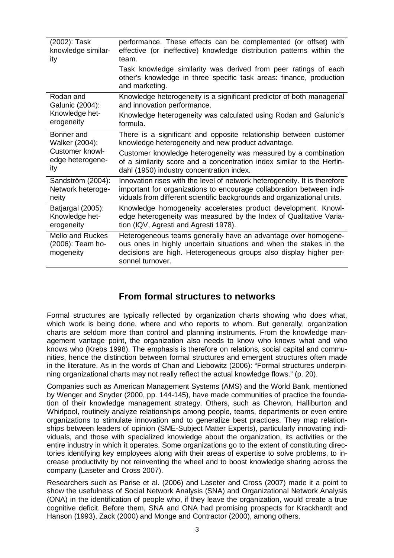| (2002): Task<br>knowledge similar-<br>ity                                         | performance. These effects can be complemented (or offset) with<br>effective (or ineffective) knowledge distribution patterns within the<br>team.                                                                             |  |  |  |  |  |  |
|-----------------------------------------------------------------------------------|-------------------------------------------------------------------------------------------------------------------------------------------------------------------------------------------------------------------------------|--|--|--|--|--|--|
|                                                                                   | Task knowledge similarity was derived from peer ratings of each<br>other's knowledge in three specific task areas: finance, production<br>and marketing.                                                                      |  |  |  |  |  |  |
| Rodan and<br>Galunic (2004):<br>Knowledge het-<br>erogeneity                      | Knowledge heterogeneity is a significant predictor of both managerial<br>and innovation performance.                                                                                                                          |  |  |  |  |  |  |
|                                                                                   | Knowledge heterogeneity was calculated using Rodan and Galunic's<br>formula.                                                                                                                                                  |  |  |  |  |  |  |
| Bonner and<br>Walker (2004):<br><b>Customer knowl-</b><br>edge heterogene-<br>ity | There is a significant and opposite relationship between customer<br>knowledge heterogeneity and new product advantage.                                                                                                       |  |  |  |  |  |  |
|                                                                                   | Customer knowledge heterogeneity was measured by a combination<br>of a similarity score and a concentration index similar to the Herfin-<br>dahl (1950) industry concentration index.                                         |  |  |  |  |  |  |
| Sandström (2004):<br>Network heteroge-<br>neity                                   | Innovation rises with the level of network heterogeneity. It is therefore<br>important for organizations to encourage collaboration between indi-<br>viduals from different scientific backgrounds and organizational units.  |  |  |  |  |  |  |
| Batjargal (2005):<br>Knowledge het-<br>erogeneity                                 | Knowledge homogeneity accelerates product development. Knowl-<br>edge heterogeneity was measured by the Index of Qualitative Varia-<br>tion (IQV, Agresti and Agresti 1978).                                                  |  |  |  |  |  |  |
| <b>Mello and Ruckes</b><br>(2006): Team ho-<br>mogeneity                          | Heterogeneous teams generally have an advantage over homogene-<br>ous ones in highly uncertain situations and when the stakes in the<br>decisions are high. Heterogeneous groups also display higher per-<br>sonnel turnover. |  |  |  |  |  |  |

## **From formal structures to networks**

Formal structures are typically reflected by organization charts showing who does what, which work is being done, where and who reports to whom. But generally, organization charts are seldom more than control and planning instruments. From the knowledge management vantage point, the organization also needs to know who knows what and who knows who (Krebs 1998). The emphasis is therefore on relations, social capital and communities, hence the distinction between formal structures and emergent structures often made in the literature. As in the words of Chan and Liebowitz (2006): "Formal structures underpinning organizational charts may not really reflect the actual knowledge flows." (p. 20).

Companies such as American Management Systems (AMS) and the World Bank, mentioned by Wenger and Snyder (2000, pp. 144-145), have made communities of practice the foundation of their knowledge management strategy. Others, such as Chevron, Halliburton and Whirlpool, routinely analyze relationships among people, teams, departments or even entire organizations to stimulate innovation and to generalize best practices. They map relationships between leaders of opinion (SME-Subject Matter Experts), particularly innovating individuals, and those with specialized knowledge about the organization, its activities or the entire industry in which it operates. Some organizations go to the extent of constituting directories identifying key employees along with their areas of expertise to solve problems, to increase productivity by not reinventing the wheel and to boost knowledge sharing across the company (Laseter and Cross 2007).

Researchers such as Parise et al. (2006) and Laseter and Cross (2007) made it a point to show the usefulness of Social Network Analysis (SNA) and Organizational Network Analysis (ONA) in the identification of people who, if they leave the organization, would create a true cognitive deficit. Before them, SNA and ONA had promising prospects for Krackhardt and Hanson (1993), Zack (2000) and Monge and Contractor (2000), among others.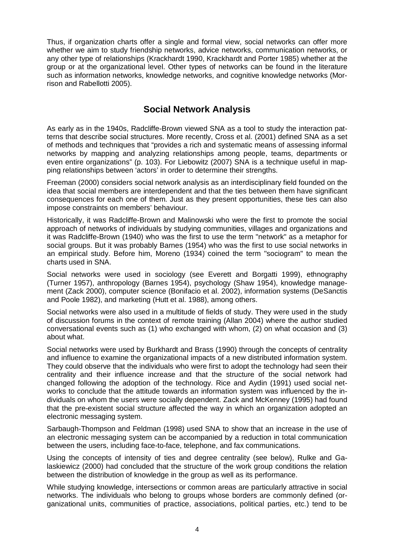Thus, if organization charts offer a single and formal view, social networks can offer more whether we aim to study friendship networks, advice networks, communication networks, or any other type of relationships (Krackhardt 1990, Krackhardt and Porter 1985) whether at the group or at the organizational level. Other types of networks can be found in the literature such as information networks, knowledge networks, and cognitive knowledge networks (Morrison and Rabellotti 2005).

## **Social Network Analysis**

As early as in the 1940s, Radcliffe-Brown viewed SNA as a tool to study the interaction patterns that describe social structures. More recently, Cross et al. (2001) defined SNA as a set of methods and techniques that "provides a rich and systematic means of assessing informal networks by mapping and analyzing relationships among people, teams, departments or even entire organizations" (p. 103). For Liebowitz (2007) SNA is a technique useful in mapping relationships between 'actors' in order to determine their strengths.

Freeman (2000) considers social network analysis as an interdisciplinary field founded on the idea that social members are interdependent and that the ties between them have significant consequences for each one of them. Just as they present opportunities, these ties can also impose constraints on members' behaviour.

Historically, it was Radcliffe-Brown and Malinowski who were the first to promote the social approach of networks of individuals by studying communities, villages and organizations and it was Radcliffe-Brown (1940) who was the first to use the term "network" as a metaphor for social groups. But it was probably Barnes (1954) who was the first to use social networks in an empirical study. Before him, Moreno (1934) coined the term "sociogram" to mean the charts used in SNA.

Social networks were used in sociology (see Everett and Borgatti 1999), ethnography (Turner 1957), anthropology (Barnes 1954), psychology (Shaw 1954), knowledge management (Zack 2000), computer science (Bonifacio et al. 2002), information systems (DeSanctis and Poole 1982), and marketing (Hutt et al. 1988), among others.

Social networks were also used in a multitude of fields of study. They were used in the study of discussion forums in the context of remote training (Allan 2004) where the author studied conversational events such as (1) who exchanged with whom, (2) on what occasion and (3) about what.

Social networks were used by Burkhardt and Brass (1990) through the concepts of centrality and influence to examine the organizational impacts of a new distributed information system. They could observe that the individuals who were first to adopt the technology had seen their centrality and their influence increase and that the structure of the social network had changed following the adoption of the technology. Rice and Aydin (1991) used social networks to conclude that the attitude towards an information system was influenced by the individuals on whom the users were socially dependent. Zack and McKenney (1995) had found that the pre-existent social structure affected the way in which an organization adopted an electronic messaging system.

Sarbaugh-Thompson and Feldman (1998) used SNA to show that an increase in the use of an electronic messaging system can be accompanied by a reduction in total communication between the users, including face-to-face, telephone, and fax communications.

Using the concepts of intensity of ties and degree centrality (see below), Rulke and Galaskiewicz (2000) had concluded that the structure of the work group conditions the relation between the distribution of knowledge in the group as well as its performance.

While studying knowledge, intersections or common areas are particularly attractive in social networks. The individuals who belong to groups whose borders are commonly defined (organizational units, communities of practice, associations, political parties, etc.) tend to be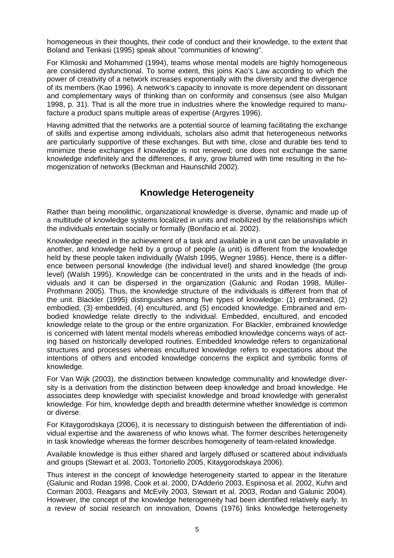homogeneous in their thoughts, their code of conduct and their knowledge, to the extent that Boland and Tenkasi (1995) speak about "communities of knowing".

For Klimoski and Mohammed (1994), teams whose mental models are highly homogeneous are considered dysfunctional. To some extent, this joins Kao's Law according to which the power of creativity of a network increases exponentially with the diversity and the divergence of its members (Kao 1996). A network's capacity to innovate is more dependent on dissonant and complementary ways of thinking than on conformity and consensus (see also Mulgan 1998, p. 31). That is all the more true in industries where the knowledge required to manufacture a product spans multiple areas of expertise (Argyres 1996).

Having admitted that the networks are a potential source of learning facilitating the exchange of skills and expertise among individuals, scholars also admit that heterogeneous networks are particularly supportive of these exchanges. But with time, close and durable ties tend to minimize these exchanges if knowledge is not renewed; one does not exchange the same knowledge indefinitely and the differences, if any, grow blurred with time resulting in the homogenization of networks (Beckman and Haunschild 2002).

## **Knowledge Heterogeneity**

Rather than being monolithic, organizational knowledge is diverse, dynamic and made up of a multitude of knowledge systems localized in units and mobilized by the relationships which the individuals entertain socially or formally (Bonifacio et al. 2002).

Knowledge needed in the achievement of a task and available in a unit can be unavailable in another, and knowledge held by a group of people (a unit) is different from the knowledge held by these people taken individually (Walsh 1995, Wegner 1986). Hence, there is a difference between personal knowledge (the individual level) and shared knowledge (the group level) (Walsh 1995). Knowledge can be concentrated in the units and in the heads of individuals and it can be dispersed in the organization (Galunic and Rodan 1998, Müller-Prothmann 2005). Thus, the knowledge structure of the individuals is different from that of the unit. Blackler (1995) distinguishes among five types of knowledge: (1) embrained, (2) embodied, (3) embedded, (4) encultured, and (5) encoded knowledge. Embrained and embodied knowledge relate directly to the individual. Embedded, encultured, and encoded knowledge relate to the group or the entire organization. For Blackler, embrained knowledge is concerned with latent mental models whereas embodied knowledge concerns ways of acting based on historically developed routines. Embedded knowledge refers to organizational structures and processes whereas encultured knowledge refers to expectations about the intentions of others and encoded knowledge concerns the explicit and symbolic forms of knowledge.

For Van Wijk (2003), the distinction between knowledge communality and knowledge diversity is a derivation from the distinction between deep knowledge and broad knowledge. He associates deep knowledge with specialist knowledge and broad knowledge with generalist knowledge. For him, knowledge depth and breadth determine whether knowledge is common or diverse.

For Kitaygorodskaya (2006), it is necessary to distinguish between the differentiation of individual expertise and the awareness of who knows what. The former describes heterogeneity in task knowledge whereas the former describes homogeneity of team-related knowledge.

Available knowledge is thus either shared and largely diffused or scattered about individuals and groups (Stewart et al. 2003, Tortoriello 2005, Kitaygorodskaya 2006).

Thus interest in the concept of knowledge heterogeneity started to appear in the literature (Galunic and Rodan 1998, Cook et al. 2000, D'Adderio 2003, Espinosa et al. 2002, Kuhn and Corman 2003, Reagans and McEvily 2003, Stewart et al. 2003, Rodan and Galunic 2004). However, the concept of the knowledge heterogeneity had been identified relatively early. In a review of social research on innovation, Downs (1976) links knowledge heterogeneity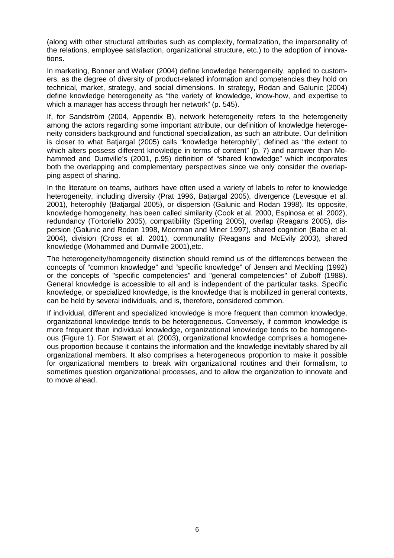(along with other structural attributes such as complexity, formalization, the impersonality of the relations, employee satisfaction, organizational structure, etc.) to the adoption of innovations.

In marketing, Bonner and Walker (2004) define knowledge heterogeneity, applied to customers, as the degree of diversity of product-related information and competencies they hold on technical, market, strategy, and social dimensions. In strategy, Rodan and Galunic (2004) define knowledge heterogeneity as "the variety of knowledge, know-how, and expertise to which a manager has access through her network" (p. 545).

If, for Sandström (2004, Appendix B), network heterogeneity refers to the heterogeneity among the actors regarding some important attribute, our definition of knowledge heterogeneity considers background and functional specialization, as such an attribute. Our definition is closer to what Batjargal (2005) calls "knowledge heterophily", defined as "the extent to which alters possess different knowledge in terms of content" (p. 7) and narrower than Mohammed and Dumville's (2001, p.95) definition of "shared knowledge" which incorporates both the overlapping and complementary perspectives since we only consider the overlapping aspect of sharing.

In the literature on teams, authors have often used a variety of labels to refer to knowledge heterogeneity, including diversity (Prat 1996, Batjargal 2005), divergence (Levesque et al. 2001), heterophily (Batjargal 2005), or dispersion (Galunic and Rodan 1998). Its opposite, knowledge homogeneity, has been called similarity (Cook et al. 2000, Espinosa et al. 2002), redundancy (Tortoriello 2005), compatibility (Sperling 2005), overlap (Reagans 2005), dispersion (Galunic and Rodan 1998, Moorman and Miner 1997), shared cognition (Baba et al. 2004), division (Cross et al. 2001), communality (Reagans and McEvily 2003), shared knowledge (Mohammed and Dumville 2001),etc.

The heterogeneity/homogeneity distinction should remind us of the differences between the concepts of "common knowledge" and "specific knowledge" of Jensen and Meckling (1992) or the concepts of "specific competencies" and "general competencies" of Zuboff (1988). General knowledge is accessible to all and is independent of the particular tasks. Specific knowledge, or specialized knowledge, is the knowledge that is mobilized in general contexts, can be held by several individuals, and is, therefore, considered common.

If individual, different and specialized knowledge is more frequent than common knowledge, organizational knowledge tends to be heterogeneous. Conversely, if common knowledge is more frequent than individual knowledge, organizational knowledge tends to be homogeneous (Figure 1). For Stewart et al. (2003), organizational knowledge comprises a homogeneous proportion because it contains the information and the knowledge inevitably shared by all organizational members. It also comprises a heterogeneous proportion to make it possible for organizational members to break with organizational routines and their formalism, to sometimes question organizational processes, and to allow the organization to innovate and to move ahead.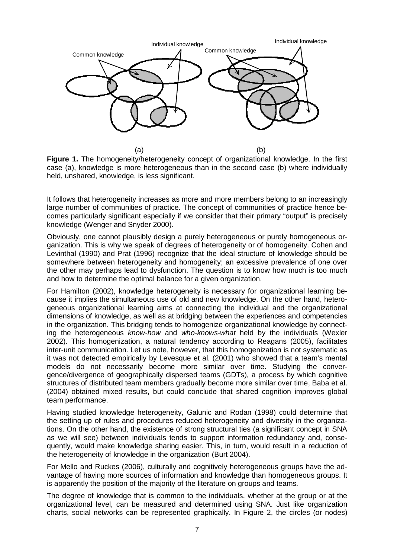

**Figure 1.** The homogeneity/heterogeneity concept of organizational knowledge. In the first case (a), knowledge is more heterogeneous than in the second case (b) where individually held, unshared, knowledge, is less significant.

It follows that heterogeneity increases as more and more members belong to an increasingly large number of communities of practice. The concept of communities of practice hence becomes particularly significant especially if we consider that their primary "output" is precisely knowledge (Wenger and Snyder 2000).

Obviously, one cannot plausibly design a purely heterogeneous or purely homogeneous organization. This is why we speak of degrees of heterogeneity or of homogeneity. Cohen and Levinthal (1990) and Prat (1996) recognize that the ideal structure of knowledge should be somewhere between heterogeneity and homogeneity; an excessive prevalence of one over the other may perhaps lead to dysfunction. The question is to know how much is too much and how to determine the optimal balance for a given organization.

For Hamilton (2002), knowledge heterogeneity is necessary for organizational learning because it implies the simultaneous use of old and new knowledge. On the other hand, heterogeneous organizational learning aims at connecting the individual and the organizational dimensions of knowledge, as well as at bridging between the experiences and competencies in the organization. This bridging tends to homogenize organizational knowledge by connecting the heterogeneous *know-how* and *who-knows-what* held by the individuals (Wexler 2002). This homogenization, a natural tendency according to Reagans (2005), facilitates inter-unit communication. Let us note, however, that this homogenization is not systematic as it was not detected empirically by Levesque et al. (2001) who showed that a team's mental models do not necessarily become more similar over time. Studying the convergence/divergence of geographically dispersed teams (GDTs), a process by which cognitive structures of distributed team members gradually become more similar over time, Baba et al. (2004) obtained mixed results, but could conclude that shared cognition improves global team performance.

Having studied knowledge heterogeneity, Galunic and Rodan (1998) could determine that the setting up of rules and procedures reduced heterogeneity and diversity in the organizations. On the other hand, the existence of strong structural ties (a significant concept in SNA as we will see) between individuals tends to support information redundancy and, consequently, would make knowledge sharing easier. This, in turn, would result in a reduction of the heterogeneity of knowledge in the organization (Burt 2004).

For Mello and Ruckes (2006), culturally and cognitively heterogeneous groups have the advantage of having more sources of information and knowledge than homogeneous groups. It is apparently the position of the majority of the literature on groups and teams.

The degree of knowledge that is common to the individuals, whether at the group or at the organizational level, can be measured and determined using SNA. Just like organization charts, social networks can be represented graphically. In Figure 2, the circles (or nodes)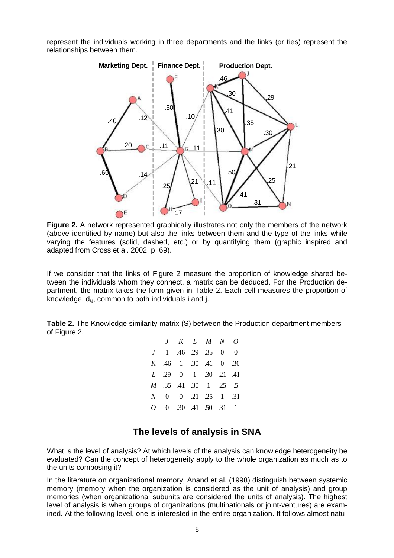represent the individuals working in three departments and the links (or ties) represent the relationships between them.



**Figure 2.** A network represented graphically illustrates not only the members of the network (above identified by name) but also the links between them and the type of the links while varying the features (solid, dashed, etc.) or by quantifying them (graphic inspired and adapted from Cross et al. 2002, p. 69).

If we consider that the links of Figure 2 measure the proportion of knowledge shared between the individuals whom they connect, a matrix can be deduced. For the Production department, the matrix takes the form given in Table 2. Each cell measures the proportion of knowledge,  $d_{i,j}$ , common to both individuals i and j.

**Table 2.** The Knowledge similarity matrix (S) between the Production department members of Figure 2.

| $J$ K L M N O                                             |  |  |  |
|-----------------------------------------------------------|--|--|--|
| $J \quad 1 \quad .46 \quad .29 \quad .35 \quad 0 \quad 0$ |  |  |  |
| K .46 1 .30 .41 0 .30                                     |  |  |  |
| L 29 0 1 30 21 41                                         |  |  |  |
| <i>M</i> .35 .41 .30 1 .25 .5                             |  |  |  |
| N 0 0 21 25 1 31                                          |  |  |  |
| $0 \t 0 \t 30 \t 41 \t 50 \t 31 \t 1$                     |  |  |  |

## **The levels of analysis in SNA**

What is the level of analysis? At which levels of the analysis can knowledge heterogeneity be evaluated? Can the concept of heterogeneity apply to the whole organization as much as to the units composing it?

In the literature on organizational memory, Anand et al. (1998) distinguish between systemic memory (memory when the organization is considered as the unit of analysis) and group memories (when organizational subunits are considered the units of analysis). The highest level of analysis is when groups of organizations (multinationals or joint-ventures) are examined. At the following level, one is interested in the entire organization. It follows almost natu-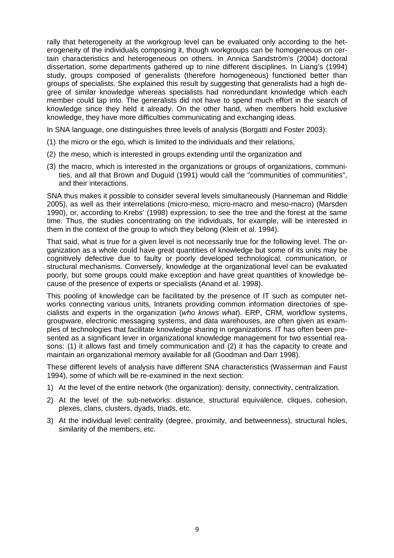rally that heterogeneity at the workgroup level can be evaluated only according to the heterogeneity of the individuals composing it, though workgroups can be homogeneous on certain characteristics and heterogeneous on others. In Annica Sandström's (2004) doctoral dissertation, some departments gathered up to nine different disciplines. In Liang's (1994) study, groups composed of generalists (therefore homogeneous) functioned better than groups of specialists. She explained this result by suggesting that generalists had a high degree of similar knowledge whereas specialists had nonredundant knowledge which each member could tap into. The generalists did not have to spend much effort in the search of knowledge since they held it already. On the other hand, when members hold exclusive knowledge, they have more difficulties communicating and exchanging ideas.

In SNA language, one distinguishes three levels of analysis (Borgatti and Foster 2003):

- (1) the micro or the ego, which is limited to the individuals and their relations,
- (2) the meso, which is interested in groups extending until the organization and
- (3) the macro, which is interested in the organizations or groups of organizations, communities, and all that Brown and Duguid (1991) would call the "communities of communities", and their interactions.

SNA thus makes it possible to consider several levels simultaneously (Hanneman and Riddle 2005), as well as their interrelations (micro-meso, micro-macro and meso-macro) (Marsden 1990), or, according to Krebs' (1998) expression, to see the tree and the forest at the same time. Thus, the studies concentrating on the individuals, for example, will be interested in them in the context of the group to which they belong (Klein et al. 1994).

That said, what is true for a given level is not necessarily true for the following level. The organization as a whole could have great quantities of knowledge but some of its units may be cognitively defective due to faulty or poorly developed technological, communication, or structural mechanisms. Conversely, knowledge at the organizational level can be evaluated poorly, but some groups could make exception and have great quantities of knowledge because of the presence of experts or specialists (Anand et al. 1998).

This pooling of knowledge can be facilitated by the presence of IT such as computer networks connecting various units, Intranets providing common information directories of specialists and experts in the organization (*who knows what*). ERP, CRM, workflow systems, groupware, electronic messaging systems, and data warehouses, are often given as examples of technologies that facilitate knowledge sharing in organizations. IT has often been presented as a significant lever in organizational knowledge management for two essential reasons: (1) it allows fast and timely communication and (2) it has the capacity to create and maintain an organizational memory available for all (Goodman and Darr 1998).

These different levels of analysis have different SNA characteristics (Wasserman and Faust 1994), some of which will be re-examined in the next section:

- 1) At the level of the entire network (the organization): density, connectivity, centralization.
- 2) At the level of the sub-networks: distance, structural equivalence, cliques, cohesion, plexes, clans, clusters, dyads, triads, etc.
- 3) At the individual level: centrality (degree, proximity, and betweenness), structural holes, similarity of the members, etc.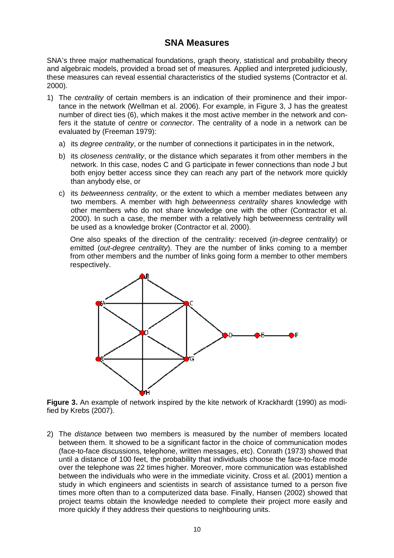### **SNA Measures**

SNA's three major mathematical foundations, graph theory, statistical and probability theory and algebraic models, provided a broad set of measures. Applied and interpreted judiciously, these measures can reveal essential characteristics of the studied systems (Contractor et al. 2000).

- 1) The *centrality* of certain members is an indication of their prominence and their importance in the network (Wellman et al. 2006). For example, in Figure 3, J has the greatest number of direct ties (6), which makes it the most active member in the network and confers it the statute of *centre* or *connector*. The centrality of a node in a network can be evaluated by (Freeman 1979):
	- a) its *degree centrality*, or the number of connections it participates in in the network,
	- b) its *closeness centrality*, or the distance which separates it from other members in the network. In this case, nodes C and G participate in fewer connections than node J but both enjoy better access since they can reach any part of the network more quickly than anybody else, or
	- c) its *betweenness centrality*, or the extent to which a member mediates between any two members. A member with high *betweenness centrality* shares knowledge with other members who do not share knowledge one with the other (Contractor et al. 2000). In such a case, the member with a relatively high betweenness centrality will be used as a knowledge broker (Contractor et al. 2000).

One also speaks of the direction of the centrality: received (*in-degree centrality*) or emitted (*out-degree centrality*). They are the number of links coming to a member from other members and the number of links going form a member to other members respectively.



**Figure 3.** An example of network inspired by the kite network of Krackhardt (1990) as modified by Krebs (2007).

2) The *distance* between two members is measured by the number of members located between them. It showed to be a significant factor in the choice of communication modes (face-to-face discussions, telephone, written messages, etc). Conrath (1973) showed that until a distance of 100 feet, the probability that individuals choose the face-to-face mode over the telephone was 22 times higher. Moreover, more communication was established between the individuals who were in the immediate vicinity. Cross et al. (2001) mention a study in which engineers and scientists in search of assistance turned to a person five times more often than to a computerized data base. Finally, Hansen (2002) showed that project teams obtain the knowledge needed to complete their project more easily and more quickly if they address their questions to neighbouring units.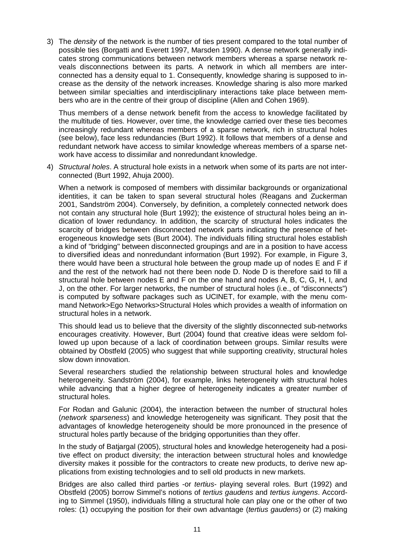3) The *density* of the network is the number of ties present compared to the total number of possible ties (Borgatti and Everett 1997, Marsden 1990). A dense network generally indicates strong communications between network members whereas a sparse network reveals disconnections between its parts. A network in which all members are interconnected has a density equal to 1. Consequently, knowledge sharing is supposed to increase as the density of the network increases. Knowledge sharing is also more marked between similar specialties and interdisciplinary interactions take place between members who are in the centre of their group of discipline (Allen and Cohen 1969).

Thus members of a dense network benefit from the access to knowledge facilitated by the multitude of ties. However, over time, the knowledge carried over these ties becomes increasingly redundant whereas members of a sparse network, rich in structural holes (see below), face less redundancies (Burt 1992). It follows that members of a dense and redundant network have access to similar knowledge whereas members of a sparse network have access to dissimilar and nonredundant knowledge.

4) *Structural holes*. A structural hole exists in a network when some of its parts are not interconnected (Burt 1992, Ahuja 2000).

When a network is composed of members with dissimilar backgrounds or organizational identities, it can be taken to span several structural holes (Reagans and Zuckerman 2001, Sandström 2004). Conversely, by definition, a completely connected network does not contain any structural hole (Burt 1992); the existence of structural holes being an indication of lower redundancy. In addition, the scarcity of structural holes indicates the scarcity of bridges between disconnected network parts indicating the presence of heterogeneous knowledge sets (Burt 2004). The individuals filling structural holes establish a kind of "bridging" between disconnected groupings and are in a position to have access to diversified ideas and nonredundant information (Burt 1992). For example, in Figure 3, there would have been a structural hole between the group made up of nodes E and F if and the rest of the network had not there been node D. Node D is therefore said to fill a structural hole between nodes E and F on the one hand and nodes A, B, C, G, H, I, and J, on the other. For larger networks, the number of structural holes (i.e., of "disconnects") is computed by software packages such as UCINET, for example, with the menu command Network>Ego Networks>Structural Holes which provides a wealth of information on structural holes in a network.

This should lead us to believe that the diversity of the slightly disconnected sub-networks encourages creativity. However, Burt (2004) found that creative ideas were seldom followed up upon because of a lack of coordination between groups. Similar results were obtained by Obstfeld (2005) who suggest that while supporting creativity, structural holes slow down innovation.

Several researchers studied the relationship between structural holes and knowledge heterogeneity. Sandström (2004), for example, links heterogeneity with structural holes while advancing that a higher degree of heterogeneity indicates a greater number of structural holes.

For Rodan and Galunic (2004), the interaction between the number of structural holes (*network sparseness*) and knowledge heterogeneity was significant. They posit that the advantages of knowledge heterogeneity should be more pronounced in the presence of structural holes partly because of the bridging opportunities than they offer.

In the study of Batjargal (2005), structural holes and knowledge heterogeneity had a positive effect on product diversity; the interaction between structural holes and knowledge diversity makes it possible for the contractors to create new products, to derive new applications from existing technologies and to sell old products in new markets.

Bridges are also called third parties -or *tertius*- playing several roles. Burt (1992) and Obstfeld (2005) borrow Simmel's notions of *tertius gaudens* and *tertius iungens*. According to Simmel (1950), individuals filling a structural hole can play one or the other of two roles: (1) occupying the position for their own advantage (*tertius gaudens*) or (2) making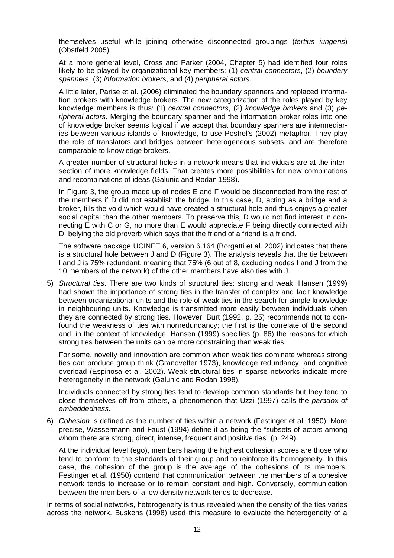themselves useful while joining otherwise disconnected groupings (*tertius iungens*) (Obstfeld 2005).

At a more general level, Cross and Parker (2004, Chapter 5) had identified four roles likely to be played by organizational key members: (1) *central connectors*, (2) *boundary spanners*, (3) *information brokers*, and (4) *peripheral actors*.

A little later, Parise et al. (2006) eliminated the boundary spanners and replaced information brokers with knowledge brokers. The new categorization of the roles played by key knowledge members is thus: (1) *central connectors*, (2) *knowledge brokers* and (3) *peripheral actors*. Merging the boundary spanner and the information broker roles into one of knowledge broker seems logical if we accept that boundary spanners are intermediaries between various islands of knowledge, to use Postrel's (2002) metaphor. They play the role of translators and bridges between heterogeneous subsets, and are therefore comparable to knowledge brokers.

A greater number of structural holes in a network means that individuals are at the intersection of more knowledge fields. That creates more possibilities for new combinations and recombinations of ideas (Galunic and Rodan 1998).

In Figure 3, the group made up of nodes E and F would be disconnected from the rest of the members if D did not establish the bridge. In this case, D, acting as a bridge and a broker, fills the void which would have created a structural hole and thus enjoys a greater social capital than the other members. To preserve this, D would not find interest in connecting E with C or G, no more than E would appreciate F being directly connected with D, belying the old proverb which says that the friend of a friend is a friend.

The software package UCINET 6, version 6.164 (Borgatti et al. 2002) indicates that there is a structural hole between J and D (Figure 3). The analysis reveals that the tie between I and J is 75% redundant, meaning that 75% (6 out of 8, excluding nodes I and J from the 10 members of the network) of the other members have also ties with J.

5) *Structural ties*. There are two kinds of structural ties: strong and weak. Hansen (1999) had shown the importance of strong ties in the transfer of complex and tacit knowledge between organizational units and the role of weak ties in the search for simple knowledge in neighbouring units. Knowledge is transmitted more easily between individuals when they are connected by strong ties. However, Burt (1992, p. 25) recommends not to confound the weakness of ties with nonredundancy; the first is the correlate of the second and, in the context of knowledge, Hansen (1999) specifies (p. 86) the reasons for which strong ties between the units can be more constraining than weak ties.

For some, novelty and innovation are common when weak ties dominate whereas strong ties can produce group think (Granovetter 1973), knowledge redundancy, and cognitive overload (Espinosa et al. 2002). Weak structural ties in sparse networks indicate more heterogeneity in the network (Galunic and Rodan 1998).

Individuals connected by strong ties tend to develop common standards but they tend to close themselves off from others, a phenomenon that Uzzi (1997) calls the *paradox of embeddedness*.

6) *Cohesion* is defined as the number of ties within a network (Festinger et al. 1950). More precise, Wassermann and Faust (1994) define it as being the "subsets of actors among whom there are strong, direct, intense, frequent and positive ties" (p. 249).

At the individual level (ego), members having the highest cohesion scores are those who tend to conform to the standards of their group and to reinforce its homogeneity. In this case, the cohesion of the group is the average of the cohesions of its members. Festinger et al. (1950) contend that communication between the members of a cohesive network tends to increase or to remain constant and high. Conversely, communication between the members of a low density network tends to decrease.

In terms of social networks, heterogeneity is thus revealed when the density of the ties varies across the network. Buskens (1998) used this measure to evaluate the heterogeneity of a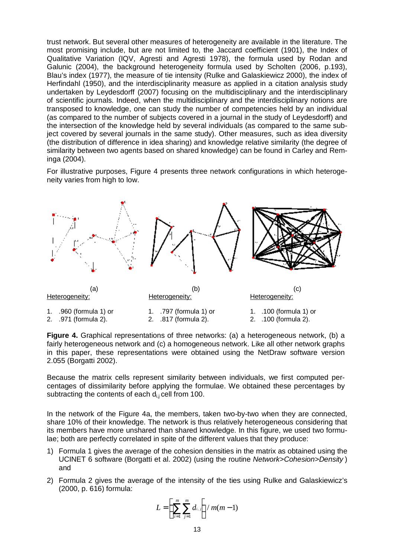trust network. But several other measures of heterogeneity are available in the literature. The most promising include, but are not limited to, the Jaccard coefficient (1901), the Index of Qualitative Variation (IQV, Agresti and Agresti 1978), the formula used by Rodan and Galunic (2004), the background heterogeneity formula used by Scholten (2006, p.193), Blau's index (1977), the measure of tie intensity (Rulke and Galaskiewicz 2000), the index of Herfindahl (1950), and the interdisciplinarity measure as applied in a citation analysis study undertaken by Leydesdorff (2007) focusing on the multidisciplinary and the interdisciplinary of scientific journals. Indeed, when the multidisciplinary and the interdisciplinary notions are transposed to knowledge, one can study the number of competencies held by an individual (as compared to the number of subjects covered in a journal in the study of Leydesdorff) and the intersection of the knowledge held by several individuals (as compared to the same subject covered by several journals in the same study). Other measures, such as idea diversity (the distribution of difference in idea sharing) and knowledge relative similarity (the degree of similarity between two agents based on shared knowledge) can be found in Carley and Reminga (2004).

For illustrative purposes, Figure 4 presents three network configurations in which heterogeneity varies from high to low.



**Figure 4.** Graphical representations of three networks: (a) a heterogeneous network, (b) a fairly heterogeneous network and (c) a homogeneous network. Like all other network graphs in this paper, these representations were obtained using the NetDraw software version 2.055 (Borgatti 2002).

Because the matrix cells represent similarity between individuals, we first computed percentages of dissimilarity before applying the formulae. We obtained these percentages by subtracting the contents of each  $d_{i,j}$  cell from 100.

In the network of the Figure 4a, the members, taken two-by-two when they are connected, share 10% of their knowledge. The network is thus relatively heterogeneous considering that its members have more unshared than shared knowledge. In this figure, we used two formulae; both are perfectly correlated in spite of the different values that they produce:

- 1) Formula 1 gives the average of the cohesion densities in the matrix as obtained using the UCINET 6 software (Borgatti et al. 2002) (using the routine *Network>Cohesion>Density* ) and
- 2) Formula 2 gives the average of the intensity of the ties using Rulke and Galaskiewicz's (2000, p. 616) formula:

$$
L = \left(\sum_{i=1}^{m} \sum_{j=1}^{m} d_{i,j}\right) / m(m-1)
$$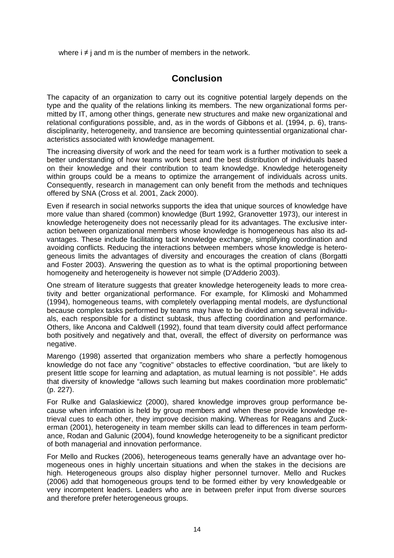where  $i \neq j$  and m is the number of members in the network.

## **Conclusion**

The capacity of an organization to carry out its cognitive potential largely depends on the type and the quality of the relations linking its members. The new organizational forms permitted by IT, among other things, generate new structures and make new organizational and relational configurations possible, and, as in the words of Gibbons et al. (1994, p. 6), transdisciplinarity, heterogeneity, and transience are becoming quintessential organizational characteristics associated with knowledge management.

The increasing diversity of work and the need for team work is a further motivation to seek a better understanding of how teams work best and the best distribution of individuals based on their knowledge and their contribution to team knowledge. Knowledge heterogeneity within groups could be a means to optimize the arrangement of individuals across units. Consequently, research in management can only benefit from the methods and techniques offered by SNA (Cross et al. 2001, Zack 2000).

Even if research in social networks supports the idea that unique sources of knowledge have more value than shared (common) knowledge (Burt 1992, Granovetter 1973), our interest in knowledge heterogeneity does not necessarily plead for its advantages. The exclusive interaction between organizational members whose knowledge is homogeneous has also its advantages. These include facilitating tacit knowledge exchange, simplifying coordination and avoiding conflicts. Reducing the interactions between members whose knowledge is heterogeneous limits the advantages of diversity and encourages the creation of clans (Borgatti and Foster 2003). Answering the question as to what is the optimal proportioning between homogeneity and heterogeneity is however not simple (D'Adderio 2003).

One stream of literature suggests that greater knowledge heterogeneity leads to more creativity and better organizational performance. For example, for Klimoski and Mohammed (1994), homogeneous teams, with completely overlapping mental models, are dysfunctional because complex tasks performed by teams may have to be divided among several individuals, each responsible for a distinct subtask, thus affecting coordination and performance. Others, like Ancona and Caldwell (1992), found that team diversity could affect performance both positively and negatively and that, overall, the effect of diversity on performance was negative.

Marengo (1998) asserted that organization members who share a perfectly homogenous knowledge do not face any "cognitive" obstacles to effective coordination, "but are likely to present little scope for learning and adaptation, as mutual learning is not possible". He adds that diversity of knowledge "allows such learning but makes coordination more problematic" (p. 227).

For Rulke and Galaskiewicz (2000), shared knowledge improves group performance because when information is held by group members and when these provide knowledge retrieval cues to each other, they improve decision making. Whereas for Reagans and Zuckerman (2001), heterogeneity in team member skills can lead to differences in team performance, Rodan and Galunic (2004), found knowledge heterogeneity to be a significant predictor of both managerial and innovation performance.

For Mello and Ruckes (2006), heterogeneous teams generally have an advantage over homogeneous ones in highly uncertain situations and when the stakes in the decisions are high. Heterogeneous groups also display higher personnel turnover. Mello and Ruckes (2006) add that homogeneous groups tend to be formed either by very knowledgeable or very incompetent leaders. Leaders who are in between prefer input from diverse sources and therefore prefer heterogeneous groups.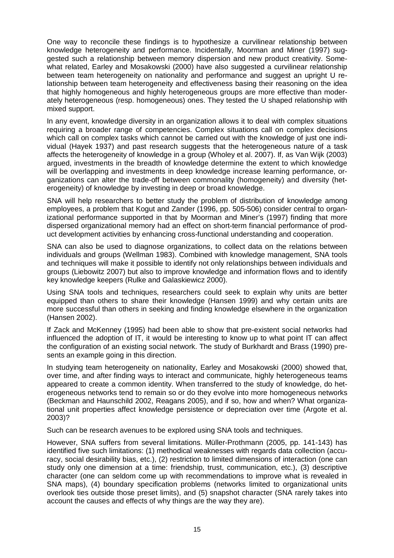One way to reconcile these findings is to hypothesize a curvilinear relationship between knowledge heterogeneity and performance. Incidentally, Moorman and Miner (1997) suggested such a relationship between memory dispersion and new product creativity. Somewhat related, Earley and Mosakowski (2000) have also suggested a curvilinear relationship between team heterogeneity on nationality and performance and suggest an upright U relationship between team heterogeneity and effectiveness basing their reasoning on the idea that highly homogeneous and highly heterogeneous groups are more effective than moderately heterogeneous (resp. homogeneous) ones. They tested the U shaped relationship with mixed support.

In any event, knowledge diversity in an organization allows it to deal with complex situations requiring a broader range of competencies. Complex situations call on complex decisions which call on complex tasks which cannot be carried out with the knowledge of just one individual (Hayek 1937) and past research suggests that the heterogeneous nature of a task affects the heterogeneity of knowledge in a group (Wholey et al. 2007). If, as Van Wijk (2003) argued, investments in the breadth of knowledge determine the extent to which knowledge will be overlapping and investments in deep knowledge increase learning performance, organizations can alter the trade-off between commonality (homogeneity) and diversity (heterogeneity) of knowledge by investing in deep or broad knowledge.

SNA will help researchers to better study the problem of distribution of knowledge among employees, a problem that Kogut and Zander (1996, pp. 505-506) consider central to organizational performance supported in that by Moorman and Miner's (1997) finding that more dispersed organizational memory had an effect on short-term financial performance of product development activities by enhancing cross-functional understanding and cooperation.

SNA can also be used to diagnose organizations, to collect data on the relations between individuals and groups (Wellman 1983). Combined with knowledge management, SNA tools and techniques will make it possible to identify not only relationships between individuals and groups (Liebowitz 2007) but also to improve knowledge and information flows and to identify key knowledge keepers (Rulke and Galaskiewicz 2000).

Using SNA tools and techniques, researchers could seek to explain why units are better equipped than others to share their knowledge (Hansen 1999) and why certain units are more successful than others in seeking and finding knowledge elsewhere in the organization (Hansen 2002).

If Zack and McKenney (1995) had been able to show that pre-existent social networks had influenced the adoption of IT, it would be interesting to know up to what point IT can affect the configuration of an existing social network. The study of Burkhardt and Brass (1990) presents an example going in this direction.

In studying team heterogeneity on nationality, Earley and Mosakowski (2000) showed that, over time, and after finding ways to interact and communicate, highly heterogeneous teams appeared to create a common identity. When transferred to the study of knowledge, do heterogeneous networks tend to remain so or do they evolve into more homogeneous networks (Beckman and Haunschild 2002, Reagans 2005), and if so, how and when? What organizational unit properties affect knowledge persistence or depreciation over time (Argote et al. 2003)?

Such can be research avenues to be explored using SNA tools and techniques.

However, SNA suffers from several limitations. Müller-Prothmann (2005, pp. 141-143) has identified five such limitations: (1) methodical weaknesses with regards data collection (accuracy, social desirability bias, etc.), (2) restriction to limited dimensions of interaction (one can study only one dimension at a time: friendship, trust, communication, etc.), (3) descriptive character (one can seldom come up with recommendations to improve what is revealed in SNA maps), (4) boundary specification problems (networks limited to organizational units overlook ties outside those preset limits), and (5) snapshot character (SNA rarely takes into account the causes and effects of why things are the way they are).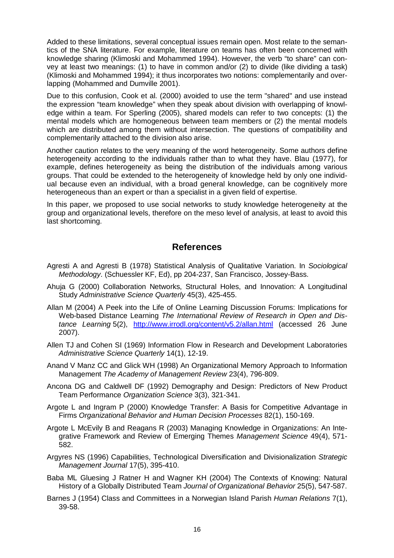Added to these limitations, several conceptual issues remain open. Most relate to the semantics of the SNA literature. For example, literature on teams has often been concerned with knowledge sharing (Klimoski and Mohammed 1994). However, the verb "to share" can convey at least two meanings: (1) to have in common and/or (2) to divide (like dividing a task) (Klimoski and Mohammed 1994); it thus incorporates two notions: complementarily and overlapping (Mohammed and Dumville 2001).

Due to this confusion, Cook et al. (2000) avoided to use the term "shared" and use instead the expression "team knowledge" when they speak about division with overlapping of knowledge within a team. For Sperling (2005), shared models can refer to two concepts: (1) the mental models which are homogeneous between team members or (2) the mental models which are distributed among them without intersection. The questions of compatibility and complementarily attached to the division also arise.

Another caution relates to the very meaning of the word heterogeneity. Some authors define heterogeneity according to the individuals rather than to what they have. Blau (1977), for example, defines heterogeneity as being the distribution of the individuals among various groups. That could be extended to the heterogeneity of knowledge held by only one individual because even an individual, with a broad general knowledge, can be cognitively more heterogeneous than an expert or than a specialist in a given field of expertise.

In this paper, we proposed to use social networks to study knowledge heterogeneity at the group and organizational levels, therefore on the meso level of analysis, at least to avoid this last shortcoming.

## **References**

- Agresti A and Agresti B (1978) Statistical Analysis of Qualitative Variation. In *Sociological Methodology*. (Schuessler KF, Ed), pp 204-237, San Francisco, Jossey-Bass.
- Ahuja G (2000) Collaboration Networks, Structural Holes, and Innovation: A Longitudinal Study *Administrative Science Quarterly* 45(3), 425-455.
- Allan M (2004) A Peek into the Life of Online Learning Discussion Forums: Implications for Web-based Distance Learning *The International Review of Research in Open and Distance Learning* 5(2), <http://www.irrodl.org/content/v5.2/allan.html> (accessed 26 June 2007).
- Allen TJ and Cohen SI (1969) Information Flow in Research and Development Laboratories *Administrative Science Quarterly* 14(1), 12-19.
- Anand V Manz CC and Glick WH (1998) An Organizational Memory Approach to Information Management *The Academy of Management Review* 23(4), 796-809.
- Ancona DG and Caldwell DF (1992) Demography and Design: Predictors of New Product Team Performance *Organization Science* 3(3), 321-341.
- Argote L and Ingram P (2000) Knowledge Transfer: A Basis for Competitive Advantage in Firms *Organizational Behavior and Human Decision Processes* 82(1), 150-169.
- Argote L McEvily B and Reagans R (2003) Managing Knowledge in Organizations: An Integrative Framework and Review of Emerging Themes *Management Science* 49(4), 571- 582.
- Argyres NS (1996) Capabilities, Technological Diversification and Divisionalization *Strategic Management Journal* 17(5), 395-410.
- Baba ML Gluesing J Ratner H and Wagner KH (2004) The Contexts of Knowing: Natural History of a Globally Distributed Team *Journal of Organizational Behavior* 25(5), 547-587.
- Barnes J (1954) Class and Committees in a Norwegian Island Parish *Human Relations* 7(1), 39-58.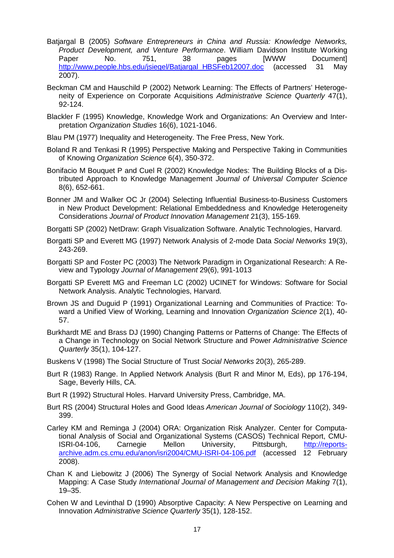- Batjargal B (2005) *Software Entrepreneurs in China and Russia: Knowledge Networks, Product Development, and Venture Performance*. William Davidson Institute Working Paper No. 751, 38 pages [WWW Document] [http://www.people.hbs.edu/jsiegel/Batjargal\\_HBSFeb12007.doc](http://www.people.hbs.edu/jsiegel/Batjargal_HBSFeb12007.doc) (accessed 31 May 2007).
- Beckman CM and Hauschild P (2002) Network Learning: The Effects of Partners' Heterogeneity of Experience on Corporate Acquisitions *Administrative Science Quarterly* 47(1), 92-124.
- Blackler F (1995) Knowledge, Knowledge Work and Organizations: An Overview and Interpretation *Organization Studies* 16(6), 1021-1046.
- Blau PM (1977) Inequality and Heterogeneity. The Free Press, New York.
- Boland R and Tenkasi R (1995) Perspective Making and Perspective Taking in Communities of Knowing *Organization Science* 6(4), 350-372.
- Bonifacio M Bouquet P and Cuel R (2002) Knowledge Nodes: The Building Blocks of a Distributed Approach to Knowledge Management *Journal of Universal Computer Science* 8(6), 652-661.
- Bonner JM and Walker OC Jr (2004) Selecting Influential Business-to-Business Customers in New Product Development: Relational Embeddedness and Knowledge Heterogeneity Considerations *Journal of Product Innovation Management* 21(3), 155-169.
- Borgatti SP (2002) NetDraw: Graph Visualization Software. Analytic Technologies, Harvard.
- Borgatti SP and Everett MG (1997) Network Analysis of 2-mode Data *Social Networks* 19(3), 243-269.
- Borgatti SP and Foster PC (2003) The Network Paradigm in Organizational Research: A Review and Typology *Journal of Management* 29(6), 991-1013
- Borgatti SP Everett MG and Freeman LC (2002) UCINET for Windows: Software for Social Network Analysis. Analytic Technologies, Harvard.
- Brown JS and Duguid P (1991) Organizational Learning and Communities of Practice: Toward a Unified View of Working, Learning and Innovation *Organization Science* 2(1), 40- 57.
- Burkhardt ME and Brass DJ (1990) Changing Patterns or Patterns of Change: The Effects of a Change in Technology on Social Network Structure and Power *Administrative Science Quarterly* 35(1), 104-127.
- Buskens V (1998) The Social Structure of Trust *Social Networks* 20(3), 265-289.
- Burt R (1983) Range. In Applied Network Analysis (Burt R and Minor M, Eds), pp 176-194, Sage, Beverly Hills, CA.
- Burt R (1992) Structural Holes. Harvard University Press, Cambridge, MA.
- Burt RS (2004) Structural Holes and Good Ideas *American Journal of Sociology* 110(2), 349- 399.
- Carley KM and Reminga J (2004) ORA: Organization Risk Analyzer. Center for Computational Analysis of Social and Organizational Systems (CASOS) Technical Report, CMU-ISRI-04-106, Carnegie Mellon University, Pittsburgh, http://reportsarchive.adm.cs.cmu.edu/anon/isri2004/CMU-ISRI-04-106.pdf (accessed 12 February 2008).
- Chan K and Liebowitz J (2006) The Synergy of Social Network Analysis and Knowledge Mapping: A Case Study *International Journal of Management and Decision Making* 7(1), 19–35.
- Cohen W and Levinthal D (1990) Absorptive Capacity: A New Perspective on Learning and Innovation *Administrative Science Quarterly* 35(1), 128-152.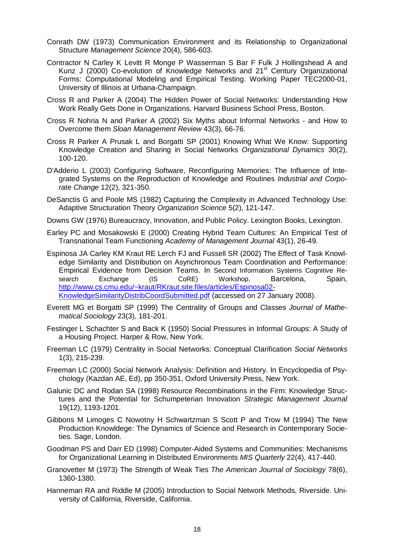- Conrath DW (1973) Communication Environment and its Relationship to Organizational Structure *Management Science* 20(4), 586-603.
- Contractor N Carley K Levitt R Monge P Wasserman S Bar F Fulk J Hollingshead A and Kunz J (2000) Co-evolution of Knowledge Networks and 21<sup>st</sup> Century Organizational Forms: Computational Modeling and Empirical Testing. Working Paper TEC2000-01, University of Illinois at Urbana-Champaign.
- Cross R and Parker A (2004) The Hidden Power of Social Networks: Understanding How Work Really Gets Done in Organizations. Harvard Business School Press, Boston.
- Cross R Nohria N and Parker A (2002) Six Myths about Informal Networks and How to Overcome them *Sloan Management Review* 43(3), 66-76.
- Cross R Parker A Prusak L and Borgatti SP (2001) Knowing What We Know: Supporting Knowledge Creation and Sharing in Social Networks *Organizational Dynamics* 30(2), 100-120.
- D'Adderio L (2003) Configuring Software, Reconfiguring Memories: The Influence of Integrated Systems on the Reproduction of Knowledge and Routines *Industrial and Corporate Change* 12(2), 321-350.
- DeSanctis G and Poole MS (1982) Capturing the Complexity in Advanced Technology Use: Adaptive Structuration Theory *Organization Science* 5(2), 121-147.
- Downs GW (1976) Bureaucracy, Innovation, and Public Policy. Lexington Books, Lexington.
- Earley PC and Mosakowski E (2000) Creating Hybrid Team Cultures: An Empirical Test of Transnational Team Functioning *Academy of Management Journal* 43(1), 26-49.
- Espinosa JA Carley KM Kraut RE Lerch FJ and Fussell SR (2002) The Effect of Task Knowledge Similarity and Distribution on Asynchronous Team Coordination and Performance: Empirical Evidence from Decision Teams. In Second Information Systems Cognitive Research Exchange (IS CoRE) Workshop, Barcelona, Spain, <http://www.cs.cmu.edu/~kraut/RKraut.site.files/articles/Espinosa02>- KnowledgeSimilarityDistribCoordSubmitted.pdf (accessed on 27 January 2008).
- Everett MG et Borgatti SP (1999) The Centrality of Groups and Classes *Journal of Mathematical Sociology* 23(3), 181-201.
- Festinger L Schachter S and Back K (1950) Social Pressures in Informal Groups: A Study of a Housing Project. Harper & Row, New York.
- Freeman LC (1979) Centrality in Social Networks: Conceptual Clarification *Social Networks* 1(3), 215-239.
- Freeman LC (2000) Social Network Analysis: Definition and History. In Encyclopedia of Psychology (Kazdan AE, Ed), pp 350-351, Oxford University Press, New York.
- Galunic DC and Rodan SA (1998) Resource Recombinations in the Firm: Knowledge Structures and the Potential for Schumpeterian Innovation *Strategic Management Journal* 19(12), 1193-1201.
- Gibbons M Limoges C Nowotny H Schwartzman S Scott P and Trow M (1994) The New Production Knowldege: The Dynamics of Science and Research in Contemporary Societies. Sage, London.
- Goodman PS and Darr ED (1998) Computer-Aided Systems and Communities: Mechanisms for Organizational Learning in Distributed Environments *MIS Quarterly* 22(4), 417-440.
- Granovetter M (1973) The Strength of Weak Ties *The American Journal of Sociology* 78(6), 1360-1380.
- Hanneman RA and Riddle M (2005) Introduction to Social Network Methods, Riverside. University of California, Riverside, California.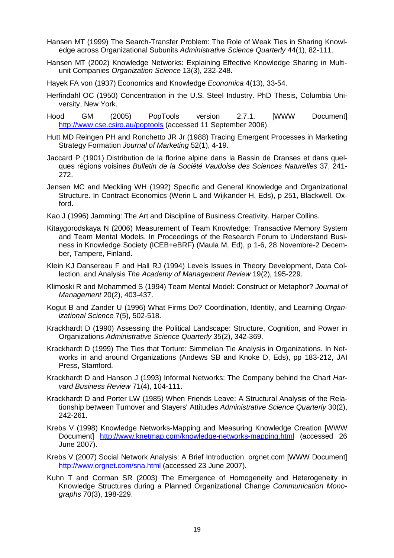Hansen MT (1999) The Search-Transfer Problem: The Role of Weak Ties in Sharing Knowledge across Organizational Subunits *Administrative Science Quarterly* 44(1), 82-111.

Hansen MT (2002) Knowledge Networks: Explaining Effective Knowledge Sharing in Multiunit Companies *Organization Science* 13(3), 232-248.

Hayek FA von (1937) Economics and Knowledge *Economica* 4(13), 33-54.

- Herfindahl OC (1950) Concentration in the U.S. Steel Industry. PhD Thesis, Columbia University, New York.
- Hood GM (2005) PopTools version 2.7.1. [WWW Document] <http://www.cse.csiro.au/poptools> (accessed 11 September 2006).
- Hutt MD Reingen PH and Ronchetto JR Jr (1988) Tracing Emergent Processes in Marketing Strategy Formation *Journal of Marketing* 52(1), 4-19.
- Jaccard P (1901) Distribution de la florine alpine dans la Bassin de Dranses et dans quelques régions voisines *Bulletin de la Société Vaudoise des Sciences Naturelles* 37, 241- 272.
- Jensen MC and Meckling WH (1992) Specific and General Knowledge and Organizational Structure. In Contract Economics (Werin L and Wijkander H, Eds), p 251, Blackwell, Oxford.
- Kao J (1996) Jamming: The Art and Discipline of Business Creativity. Harper Collins.
- Kitaygorodskaya N (2006) Measurement of Team Knowledge: Transactive Memory System and Team Mental Models. In Proceedings of the Research Forum to Understand Business in Knowledge Society (ICEB+eBRF) (Maula M, Ed), p 1-6, 28 Novembre-2 December, Tampere, Finland.
- Klein KJ Dansereau F and Hall RJ (1994) Levels Issues in Theory Development, Data Collection, and Analysis *The Academy of Management Review* 19(2), 195-229.
- Klimoski R and Mohammed S (1994) Team Mental Model: Construct or Metaphor? *Journal of Management* 20(2), 403-437.
- Kogut B and Zander U (1996) What Firms Do? Coordination, Identity, and Learning *Organizational Science* 7(5), 502-518.
- Krackhardt D (1990) Assessing the Political Landscape: Structure, Cognition, and Power in Organizations *Administrative Science Quarterly* 35(2), 342-369.
- Krackhardt D (1999) The Ties that Torture: Simmelian Tie Analysis in Organizations. In Networks in and around Organizations (Andews SB and Knoke D, Eds), pp 183-212, JAI Press, Stamford.
- Krackhardt D and Hanson J (1993) Informal Networks: The Company behind the Chart *Harvard Business Review* 71(4), 104-111.
- Krackhardt D and Porter LW (1985) When Friends Leave: A Structural Analysis of the Relationship between Turnover and Stayers' Attitudes *Administrative Science Quarterly* 30(2), 242-261.
- Krebs V (1998) Knowledge Networks-Mapping and Measuring Knowledge Creation [WWW Document] <http://www.knetmap.com/knowledge-networks-mapping.html> (accessed 26 June 2007).
- Krebs V (2007) Social Network Analysis: A Brief Introduction. orgnet.com [WWW Document] <http://www.orgnet.com/sna.html> (accessed 23 June 2007).
- Kuhn T and Corman SR (2003) The Emergence of Homogeneity and Heterogeneity in Knowledge Structures during a Planned Organizational Change *Communication Monographs* 70(3), 198-229.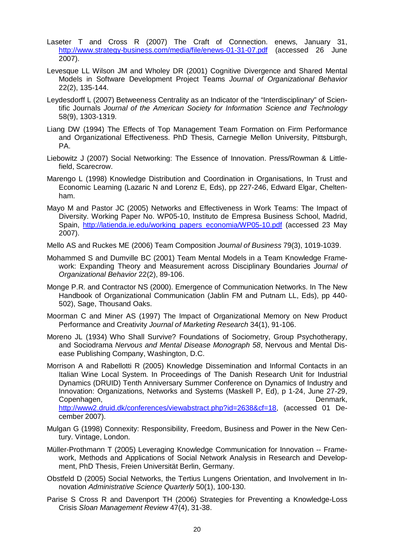- Laseter T and Cross R (2007) The Craft of Connection. enews, January 31, <http://www.strategy-business.com/media/file/enews-01-31-07.pdf> (accessed 26 June 2007).
- Levesque LL Wilson JM and Wholey DR (2001) Cognitive Divergence and Shared Mental Models in Software Development Project Teams *Journal of Organizational Behavior* 22(2), 135-144.
- Leydesdorff L (2007) Betweeness Centrality as an Indicator of the "Interdisciplinary" of Scientific Journals *Journal of the American Society for Information Science and Technology* 58(9), 1303-1319.
- Liang DW (1994) The Effects of Top Management Team Formation on Firm Performance and Organizational Effectiveness. PhD Thesis, Carnegie Mellon University, Pittsburgh, PA.
- Liebowitz J (2007) Social Networking: The Essence of Innovation. Press/Rowman & Littlefield, Scarecrow.
- Marengo L (1998) Knowledge Distribution and Coordination in Organisations, In Trust and Economic Learning (Lazaric N and Lorenz E, Eds), pp 227-246, Edward Elgar, Cheltenham.
- Mayo M and Pastor JC (2005) Networks and Effectiveness in Work Teams: The Impact of Diversity. Working Paper No. WP05-10, Instituto de Empresa Business School, Madrid, Spain, [http://latienda.ie.edu/working\\_papers\\_economia/WP05-10.pdf](http://latienda.ie.edu/working_papers_economia/WP05-10.pdf) (accessed 23 May 2007).

Mello AS and Ruckes ME (2006) Team Composition *Journal of Business* 79(3), 1019-1039.

- Mohammed S and Dumville BC (2001) Team Mental Models in a Team Knowledge Framework: Expanding Theory and Measurement across Disciplinary Boundaries *Journal of Organizational Behavior* 22(2), 89-106.
- Monge P.R. and Contractor NS (2000). Emergence of Communication Networks. In The New Handbook of Organizational Communication (Jablin FM and Putnam LL, Eds), pp 440- 502), Sage, Thousand Oaks.
- Moorman C and Miner AS (1997) The Impact of Organizational Memory on New Product Performance and Creativity *Journal of Marketing Research* 34(1), 91-106.
- Moreno JL (1934) Who Shall Survive? Foundations of Sociometry, Group Psychotherapy, and Sociodrama *Nervous and Mental Disease Monograph 58*, Nervous and Mental Disease Publishing Company, Washington, D.C.
- Morrison A and Rabellotti R (2005) Knowledge Dissemination and Informal Contacts in an Italian Wine Local System. In Proceedings of The Danish Research Unit for Industrial Dynamics (DRUID) Tenth Anniversary Summer Conference on Dynamics of Industry and Innovation: Organizations, Networks and Systems (Maskell P, Ed), p 1-24, June 27-29, Copenhagen, Denmark, <http://www2.druid.dk/conferences/viewabstract.php?id=2638&cf=18>, (accessed 01 December 2007).
- Mulgan G (1998) Connexity: Responsibility, Freedom, Business and Power in the New Century. Vintage, London.
- Müller-Prothmann T (2005) Leveraging Knowledge Communication for Innovation -- Framework, Methods and Applications of Social Network Analysis in Research and Development, PhD Thesis, Freien Universität Berlin, Germany.
- Obstfeld D (2005) Social Networks, the Tertius Lungens Orientation, and Involvement in Innovation *Administrative Science Quarterly* 50(1), 100-130.
- Parise S Cross R and Davenport TH (2006) Strategies for Preventing a Knowledge-Loss Crisis *Sloan Management Review* 47(4), 31-38.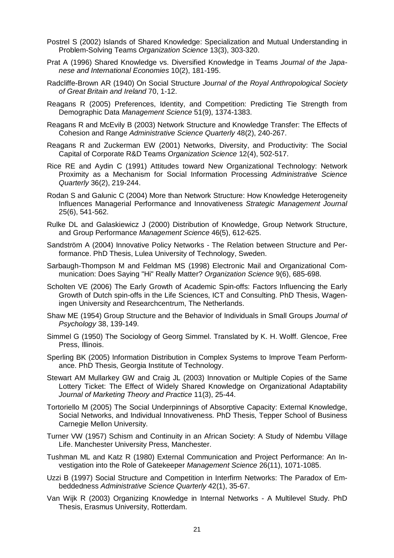- Postrel S (2002) Islands of Shared Knowledge: Specialization and Mutual Understanding in Problem-Solving Teams *Organization Science* 13(3), 303-320.
- Prat A (1996) Shared Knowledge vs. Diversified Knowledge in Teams *Journal of the Japanese and International Economies* 10(2), 181-195.
- Radcliffe-Brown AR (1940) On Social Structure *Journal of the Royal Anthropological Society of Great Britain and Ireland* 70, 1-12.
- Reagans R (2005) Preferences, Identity, and Competition: Predicting Tie Strength from Demographic Data *Management Science* 51(9), 1374-1383.
- Reagans R and McEvily B (2003) Network Structure and Knowledge Transfer: The Effects of Cohesion and Range *Administrative Science Quarterly* 48(2), 240-267.
- Reagans R and Zuckerman EW (2001) Networks, Diversity, and Productivity: The Social Capital of Corporate R&D Teams *Organization Science* 12(4), 502-517.
- Rice RE and Aydin C (1991) Attitudes toward New Organizational Technology: Network Proximity as a Mechanism for Social Information Processing *Administrative Science Quarterly* 36(2), 219-244.
- Rodan S and Galunic C (2004) More than Network Structure: How Knowledge Heterogeneity Influences Managerial Performance and Innovativeness *Strategic Management Journal* 25(6), 541-562.
- Rulke DL and Galaskiewicz J (2000) Distribution of Knowledge, Group Network Structure, and Group Performance *Management Science* 46(5), 612-625.
- Sandström A (2004) Innovative Policy Networks The Relation between Structure and Performance. PhD Thesis, Lulea University of Technology, Sweden.
- Sarbaugh-Thompson M and Feldman MS (1998) Electronic Mail and Organizational Communication: Does Saying "Hi" Really Matter? *Organization Science* 9(6), 685-698.
- Scholten VE (2006) The Early Growth of Academic Spin-offs: Factors Influencing the Early Growth of Dutch spin-offs in the Life Sciences, ICT and Consulting. PhD Thesis, Wageningen University and Researchcentrum, The Netherlands.
- Shaw ME (1954) Group Structure and the Behavior of Individuals in Small Groups *Journal of Psychology* 38, 139-149.
- Simmel G (1950) The Sociology of Georg Simmel. Translated by K. H. Wolff. Glencoe, Free Press, Illinois.
- Sperling BK (2005) Information Distribution in Complex Systems to Improve Team Performance. PhD Thesis, Georgia Institute of Technology.
- Stewart AM Mullarkey GW and Craig JL (2003) Innovation or Multiple Copies of the Same Lottery Ticket: The Effect of Widely Shared Knowledge on Organizational Adaptability *Journal of Marketing Theory and Practice* 11(3), 25-44.
- Tortoriello M (2005) The Social Underpinnings of Absorptive Capacity: External Knowledge, Social Networks, and Individual Innovativeness. PhD Thesis, Tepper School of Business Carnegie Mellon University.
- Turner VW (1957) Schism and Continuity in an African Society: A Study of Ndembu Village Life. Manchester University Press, Manchester.
- Tushman ML and Katz R (1980) External Communication and Project Performance: An Investigation into the Role of Gatekeeper *Management Science* 26(11), 1071-1085.
- Uzzi B (1997) Social Structure and Competition in Interfirm Networks: The Paradox of Embeddedness *Administrative Science Quarterly* 42(1), 35-67.
- Van Wijk R (2003) Organizing Knowledge in Internal Networks A Multilevel Study. PhD Thesis, Erasmus University, Rotterdam.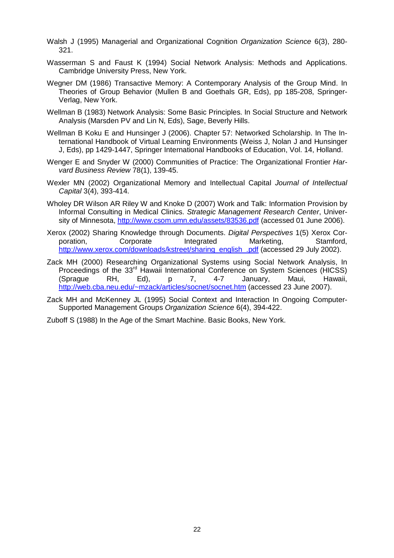- Walsh J (1995) Managerial and Organizational Cognition *Organization Science* 6(3), 280- 321.
- Wasserman S and Faust K (1994) Social Network Analysis: Methods and Applications. Cambridge University Press, New York.
- Wegner DM (1986) Transactive Memory: A Contemporary Analysis of the Group Mind. In Theories of Group Behavior (Mullen B and Goethals GR, Eds), pp 185-208, Springer-Verlag, New York.
- Wellman B (1983) Network Analysis: Some Basic Principles. In Social Structure and Network Analysis (Marsden PV and Lin N, Eds), Sage, Beverly Hills.
- Wellman B Koku E and Hunsinger J (2006). Chapter 57: Networked Scholarship. In The International Handbook of Virtual Learning Environments (Weiss J, Nolan J and Hunsinger J, Eds), pp 1429-1447, Springer International Handbooks of Education, Vol. 14, Holland.
- Wenger E and Snyder W (2000) Communities of Practice: The Organizational Frontier *Harvard Business Review* 78(1), 139-45.
- Wexler MN (2002) Organizational Memory and Intellectual Capital *Journal of Intellectual Capital* 3(4), 393-414.
- Wholey DR Wilson AR Riley W and Knoke D (2007) Work and Talk: Information Provision by Informal Consulting in Medical Clinics. *Strategic Management Research Center*, University of Minnesota, <http://www.csom.umn.edu/assets/83536.pdf> (accessed 01 June 2006).
- Xerox (2002) Sharing Knowledge through Documents. *Digital Perspectives* 1(5) Xerox Corporation, Corporate Integrated Marketing, Stamford, [http://www.xerox.com/downloads/kstreet/sharing\\_english\\_.pdf](http://www.xerox.com/downloads/kstreet/sharing_english_.pdf) (accessed 29 July 2002).
- Zack MH (2000) Researching Organizational Systems using Social Network Analysis, In Proceedings of the 33<sup>rd</sup> Hawaii International Conference on System Sciences (HICSS) (Sprague RH, Ed), p 7, 4-7 January, Maui, Hawaii, <http://web.cba.neu.edu/~mzack/articles/socnet/socnet.htm> (accessed 23 June 2007).
- Zack MH and McKenney JL (1995) Social Context and Interaction In Ongoing Computer-Supported Management Groups *Organization Science* 6(4), 394-422.

Zuboff S (1988) In the Age of the Smart Machine. Basic Books, New York.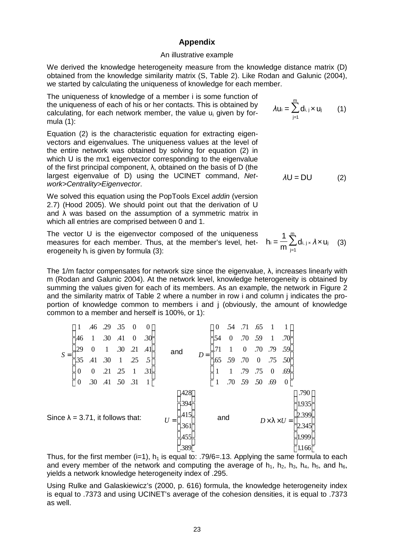#### **Appendix**

#### An illustrative example

We derived the knowledge heterogeneity measure from the knowledge distance matrix (D) obtained from the knowledge similarity matrix (S, Table 2). Like Rodan and Galunic (2004), we started by calculating the uniqueness of knowledge for each member.

The uniqueness of knowledge of a member i is some function of the uniqueness of each of his or her contacts. This is obtained by calculating, for each network member, the value u<sup>i</sup> given by formula (1):

Equation (2) is the characteristic equation for extracting eigenvectors and eigenvalues. The uniqueness values at the level of the entire network was obtained by solving for equation (2) in which U is the mx1 eigenvector corresponding to the eigenvalue of the first principal component, λ, obtained on the basis of D (the largest eigenvalue of D) using the UCINET command, *Network>Centrality>Eigenvector*.

We solved this equation using the PopTools Excel *addin* (version 2.7) (Hood 2005). We should point out that the derivation of U and  $\lambda$  was based on the assumption of a symmetric matrix in which all entries are comprised between 0 and 1.

The vector U is the eigenvector composed of the uniqueness The vector U is the eigenvector composed of the uniqueness  $\frac{1}{m} \sum_{n=0}^{\infty}$ erogeneity h<sub>i</sub> is given by formula (3): 1

The 1/m factor compensates for network size since the eigenvalue, λ, increases linearly with m (Rodan and Galunic 2004). At the network level, knowledge heterogeneity is obtained by summing the values given for each of its members. As an example, the network in Figure 2 and the similarity matrix of Table 2 where a number in row i and column j indicates the proportion of knowledge common to members i and j (obviously, the amount of knowledge common to a member and herself is 100%, or 1):

| $S =$                                     |                  | .46              | .29          | .35                                                   | $\boldsymbol{0}$ | $\boldsymbol{0}$ |     |       | $\theta$ | .54                     | .71                                                    | .65 |              | $\vert$         |  |  |
|-------------------------------------------|------------------|------------------|--------------|-------------------------------------------------------|------------------|------------------|-----|-------|----------|-------------------------|--------------------------------------------------------|-----|--------------|-----------------|--|--|
|                                           | .46              |                  | .30          | .41                                                   | $\boldsymbol{0}$ | .30              |     | $D =$ | .54      |                         | .70                                                    | 59  | $\mathbf{1}$ | .70             |  |  |
|                                           | .29              | $\overline{0}$   | $\mathbf{1}$ | .30                                                   | .21              | .41              | and |       |          |                         |                                                        |     |              | $\frac{59}{50}$ |  |  |
|                                           | .35              | .41              | .30          | $\mathbf{1}$                                          | .25              | $\overline{5}$   |     |       | .65      | .59                     | $0$ .70 .79<br>.70 0 .75                               |     |              |                 |  |  |
|                                           | $\boldsymbol{0}$ | $\boldsymbol{0}$ | .21          | $\begin{array}{cc}\n.25 & 1 \\ 50 & .31\n\end{array}$ |                  | .31              |     |       |          |                         | $1$ .79 .75 0<br>.70 59 50 .69                         |     |              | .69             |  |  |
|                                           |                  | .30              | $-41$        |                                                       |                  |                  |     |       |          |                         |                                                        |     |              | $\mathbf{0}$    |  |  |
|                                           |                  |                  |              |                                                       |                  | .428             |     |       |          |                         | .790                                                   |     |              |                 |  |  |
|                                           |                  |                  |              |                                                       | .394             |                  |     |       |          |                         |                                                        |     | 1.935        |                 |  |  |
| Since $\lambda = 3.71$ , it follows that: |                  |                  |              | .415<br>$U =$                                         |                  | and              |     |       |          | $D \times l \times U =$ | $\begin{array}{ c c }\n 2.399 \\  2.345\n \end{array}$ |     |              |                 |  |  |
|                                           |                  |                  |              |                                                       | .361             |                  |     |       |          |                         |                                                        |     |              |                 |  |  |
|                                           |                  |                  |              |                                                       |                  | .455             |     |       |          |                         |                                                        |     |              | 1.999           |  |  |
|                                           |                  |                  |              |                                                       |                  | .389             |     |       |          |                         |                                                        |     |              | 1.166           |  |  |

Thus, for the first member (i=1),  $h_1$  is equal to: .79/6=.13. Applying the same formula to each and every member of the network and computing the average of  $h_1$ ,  $h_2$ ,  $h_3$ ,  $h_4$ ,  $h_5$ , and  $h_6$ , yields a network knowledge heterogeneity index of .295.

Using Rulke and Galaskiewicz's (2000, p. 616) formula, the knowledge heterogeneity index is equal to .7373 and using UCINET's average of the cohesion densities, it is equal to .7373 as well.

$$
f_{\rm{max}}
$$

*λ*U = DU (2)

 $\sum^{\hspace{-0.1cm}m}$ j=1

 $\lambda$ u<sub>i</sub> =  $\sum$ d<sub>i, j</sub> × u<sub>j</sub> (1)

j=1  $i = \frac{1}{m} \sum_{i=1}^m d_{i, j} \times \lambda \times U_j$  $h_i = \frac{1}{2} \sum d_{i,j} \times \lambda \times U_j$  (3)